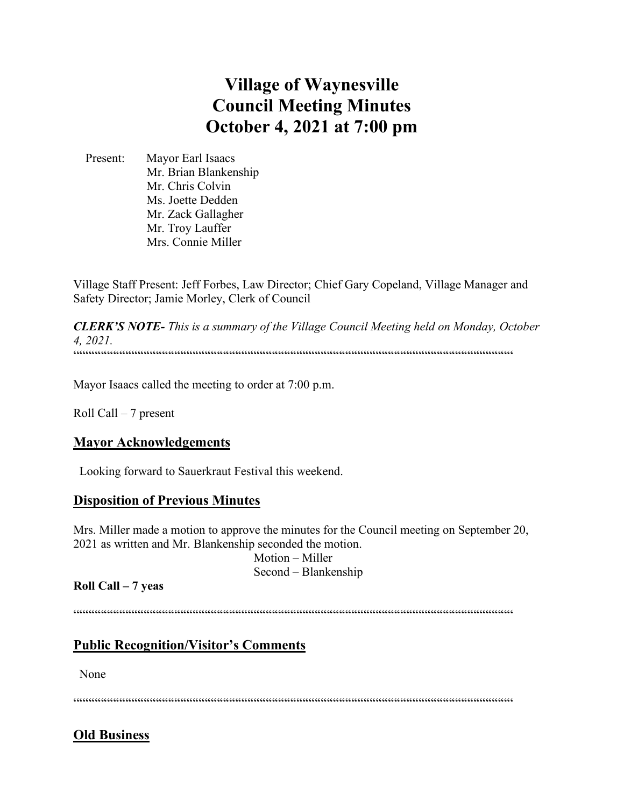# **Village of Waynesville Council Meeting Minutes October 4, 2021 at 7:00 pm**

 Present: Mayor Earl Isaacs Mr. Brian Blankenship Mr. Chris Colvin Ms. Joette Dedden Mr. Zack Gallagher Mr. Troy Lauffer Mrs. Connie Miller

Village Staff Present: Jeff Forbes, Law Director; Chief Gary Copeland, Village Manager and Safety Director; Jamie Morley, Clerk of Council

*CLERK'S NOTE- This is a summary of the Village Council Meeting held on Monday, October 4, 2021.*   $\label{prop:main}$ 

Mayor Isaacs called the meeting to order at 7:00 p.m.

Roll Call – 7 present

#### **Mayor Acknowledgements**

Looking forward to Sauerkraut Festival this weekend.

# **Disposition of Previous Minutes**

Mrs. Miller made a motion to approve the minutes for the Council meeting on September 20, 2021 as written and Mr. Blankenship seconded the motion.

 Motion – Miller Second – Blankenship

#### **Roll Call – 7 yeas**

 $\label{prop:main} \hspace{1.5cm} \hspace{1.5cm} \hspace{1.5cm} \hspace{1.5cm} \hspace{1.5cm} \hspace{1.5cm} \hspace{1.5cm} \hspace{1.5cm} \hspace{1.5cm} \hspace{1.5cm} \hspace{1.5cm} \hspace{1.5cm} \hspace{1.5cm} \hspace{1.5cm} \hspace{1.5cm} \hspace{1.5cm} \hspace{1.5cm} \hspace{1.5cm} \hspace{1.5cm} \hspace{1.5cm} \hspace{1.5cm} \hspace{1.5cm} \hspace{1.5cm} \hspace{1.$ 

# **Public Recognition/Visitor's Comments**

None

 $\label{prop:main} \hspace{1.5cm} \hspace{1.5cm} \hspace{1.5cm} \hspace{1.5cm} \hspace{1.5cm} \hspace{1.5cm} \hspace{1.5cm} \hspace{1.5cm} \hspace{1.5cm} \hspace{1.5cm} \hspace{1.5cm} \hspace{1.5cm} \hspace{1.5cm} \hspace{1.5cm} \hspace{1.5cm} \hspace{1.5cm} \hspace{1.5cm} \hspace{1.5cm} \hspace{1.5cm} \hspace{1.5cm} \hspace{1.5cm} \hspace{1.5cm} \hspace{1.5cm} \hspace{1.$ 

# **Old Business**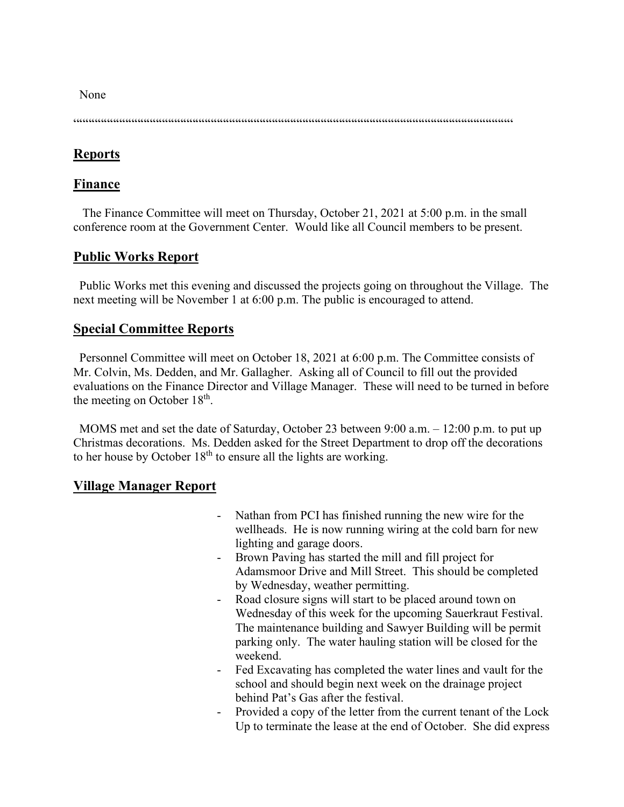None

 $\label{prop:main} \hspace{1.5cm} \hspace{1.5cm} ... \hspace{1.5cm} ... \hspace{1.5cm} ... \hspace{1.5cm} ... \hspace{1.5cm} ... \hspace{1.5cm} ... \hspace{1.5cm} ... \hspace{1.5cm} ... \hspace{1.5cm} ... \hspace{1.5cm} ... \hspace{1.5cm} ... \hspace{1.5cm} ... \hspace{1.5cm} ... \hspace{1.5cm} ... \hspace{1.5cm} ... \hspace{1.5cm} ... \hspace{1.5cm} ... \hspace{1.5cm} ... \hspace{1.5cm} ... \hspace{1.5cm} ... \hspace{$ 

## **Reports**

#### **Finance**

 The Finance Committee will meet on Thursday, October 21, 2021 at 5:00 p.m. in the small conference room at the Government Center. Would like all Council members to be present.

## **Public Works Report**

 Public Works met this evening and discussed the projects going on throughout the Village. The next meeting will be November 1 at 6:00 p.m. The public is encouraged to attend.

#### **Special Committee Reports**

 Personnel Committee will meet on October 18, 2021 at 6:00 p.m. The Committee consists of Mr. Colvin, Ms. Dedden, and Mr. Gallagher. Asking all of Council to fill out the provided evaluations on the Finance Director and Village Manager. These will need to be turned in before the meeting on October 18<sup>th</sup>.

 MOMS met and set the date of Saturday, October 23 between 9:00 a.m. – 12:00 p.m. to put up Christmas decorations. Ms. Dedden asked for the Street Department to drop off the decorations to her house by October  $18<sup>th</sup>$  to ensure all the lights are working.

#### **Village Manager Report**

- Nathan from PCI has finished running the new wire for the wellheads. He is now running wiring at the cold barn for new lighting and garage doors.
- Brown Paving has started the mill and fill project for Adamsmoor Drive and Mill Street. This should be completed by Wednesday, weather permitting.
- Road closure signs will start to be placed around town on Wednesday of this week for the upcoming Sauerkraut Festival. The maintenance building and Sawyer Building will be permit parking only. The water hauling station will be closed for the weekend.
- Fed Excavating has completed the water lines and vault for the school and should begin next week on the drainage project behind Pat's Gas after the festival.
- Provided a copy of the letter from the current tenant of the Lock Up to terminate the lease at the end of October. She did express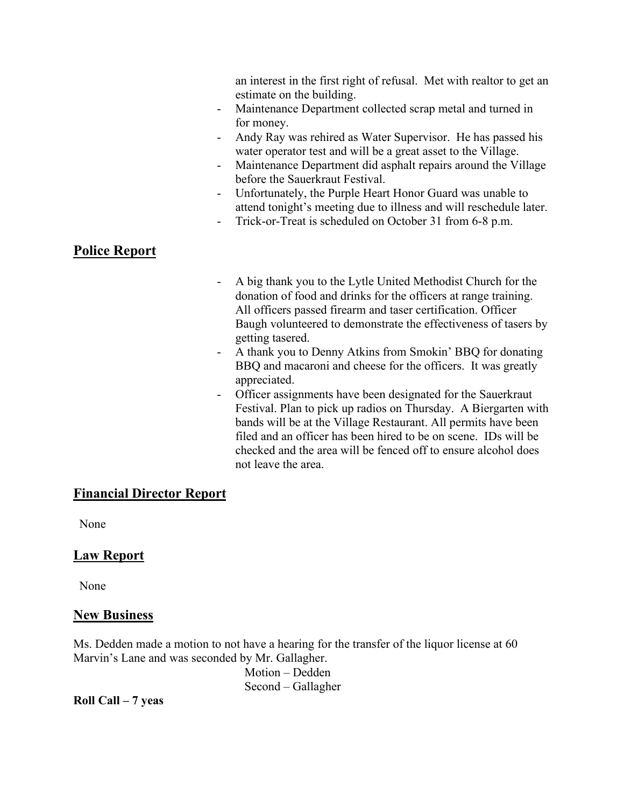an interest in the first right of refusal. Met with realtor to get an estimate on the building.

- Maintenance Department collected scrap metal and turned in for money.
- Andy Ray was rehired as Water Supervisor. He has passed his water operator test and will be a great asset to the Village.
- Maintenance Department did asphalt repairs around the Village before the Sauerkraut Festival.
- Unfortunately, the Purple Heart Honor Guard was unable to attend tonight's meeting due to illness and will reschedule later.
- Trick-or-Treat is scheduled on October 31 from 6-8 p.m.

# **Police Report**

- A big thank you to the Lytle United Methodist Church for the donation of food and drinks for the officers at range training. All officers passed firearm and taser certification. Officer Baugh volunteered to demonstrate the effectiveness of tasers by getting tasered.
- A thank you to Denny Atkins from Smokin' BBQ for donating BBQ and macaroni and cheese for the officers. It was greatly appreciated.
- Officer assignments have been designated for the Sauerkraut Festival. Plan to pick up radios on Thursday. A Biergarten with bands will be at the Village Restaurant. All permits have been filed and an officer has been hired to be on scene. IDs will be checked and the area will be fenced off to ensure alcohol does not leave the area.

#### **Financial Director Report**

None

#### **Law Report**

None

#### **New Business**

Ms. Dedden made a motion to not have a hearing for the transfer of the liquor license at 60 Marvin's Lane and was seconded by Mr. Gallagher.

> Motion – Dedden Second – Gallagher

**Roll Call – 7 yeas**